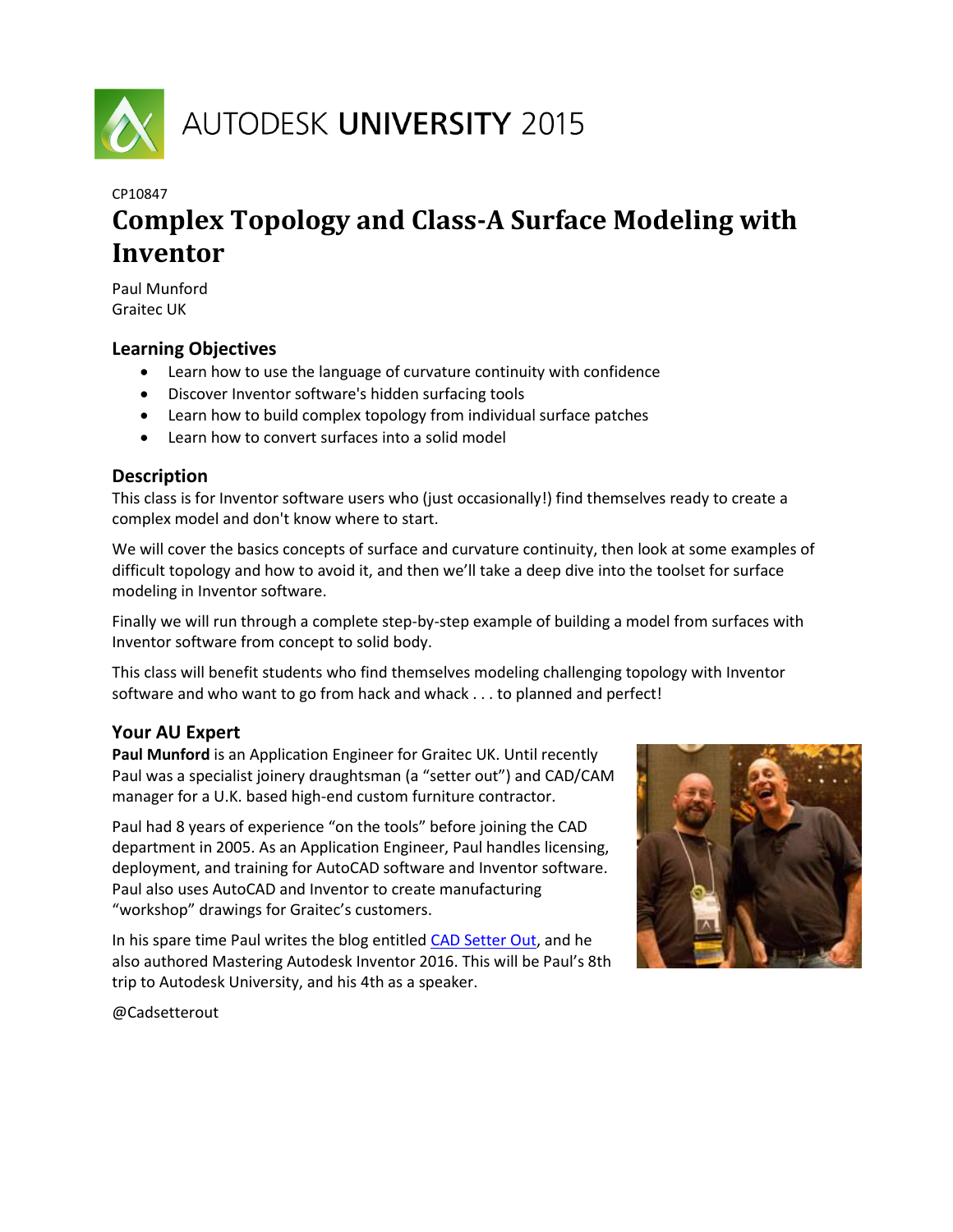

# CP10847 **Complex Topology and Class-A Surface Modeling with Inventor**

Paul Munford Graitec UK

## <span id="page-0-0"></span>**Learning Objectives**

- Learn how to use the language of curvature continuity with confidence
- Discover Inventor software's hidden surfacing tools
- Learn how to build complex topology from individual surface patches
- Learn how to convert surfaces into a solid model

## <span id="page-0-1"></span>**Description**

This class is for Inventor software users who (just occasionally!) find themselves ready to create a complex model and don't know where to start.

We will cover the basics concepts of surface and curvature continuity, then look at some examples of difficult topology and how to avoid it, and then we'll take a deep dive into the toolset for surface modeling in Inventor software.

Finally we will run through a complete step-by-step example of building a model from surfaces with Inventor software from concept to solid body.

This class will benefit students who find themselves modeling challenging topology with Inventor software and who want to go from hack and whack . . . to planned and perfect!

## <span id="page-0-2"></span>**Your AU Expert**

**Paul Munford** is an Application Engineer for Graitec UK. Until recently Paul was a specialist joinery draughtsman (a "setter out") and CAD/CAM manager for a U.K. based high-end custom furniture contractor.

Paul had 8 years of experience "on the tools" before joining the CAD department in 2005. As an Application Engineer, Paul handles licensing, deployment, and training for AutoCAD software and Inventor software. Paul also uses AutoCAD and Inventor to create manufacturing "workshop" drawings for Graitec's customers.

In his spare time Paul writes the blog entitle[d CAD Setter Out,](http://cadsetterout.com/) and he also authored Mastering Autodesk Inventor 2016. This will be Paul's 8th trip to Autodesk University, and his 4th as a speaker.



@Cadsetterout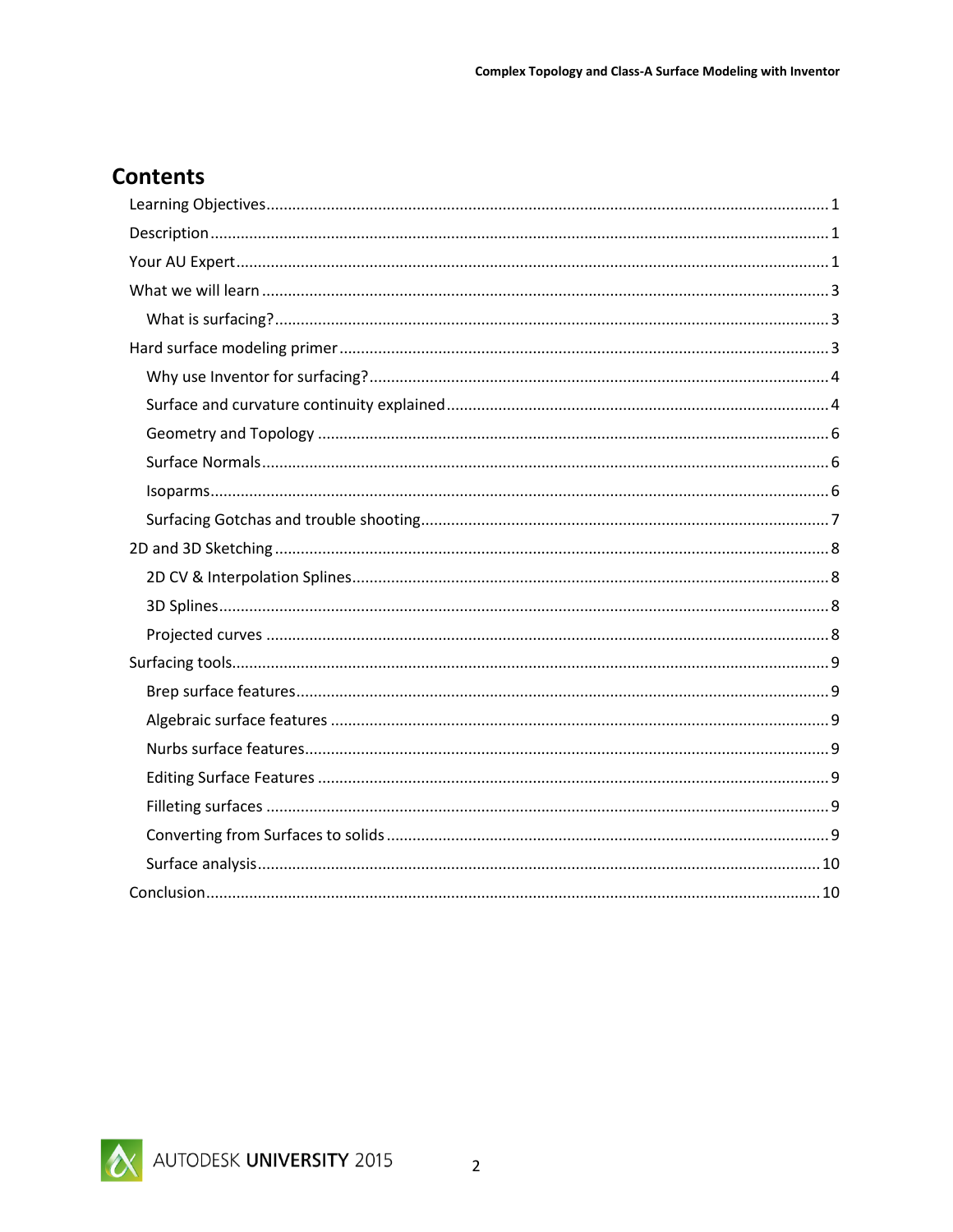## **Contents**

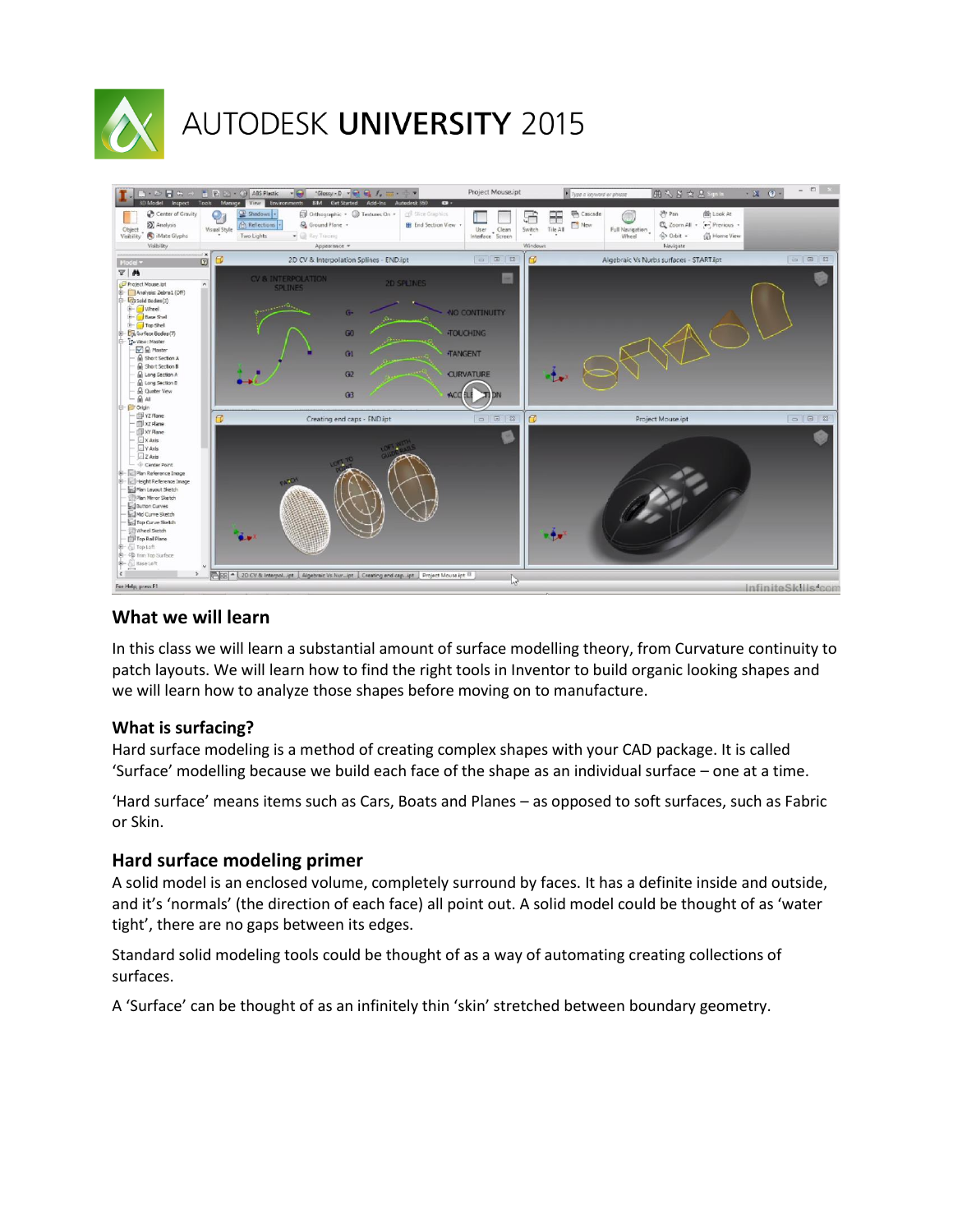

# AUTODESK UNIVERSITY 2015



## <span id="page-2-0"></span>**What we will learn**

In this class we will learn a substantial amount of surface modelling theory, from Curvature continuity to patch layouts. We will learn how to find the right tools in Inventor to build organic looking shapes and we will learn how to analyze those shapes before moving on to manufacture.

## <span id="page-2-1"></span>**What is surfacing?**

Hard surface modeling is a method of creating complex shapes with your CAD package. It is called 'Surface' modelling because we build each face of the shape as an individual surface – one at a time.

'Hard surface' means items such as Cars, Boats and Planes – as opposed to soft surfaces, such as Fabric or Skin.

## <span id="page-2-2"></span>**Hard surface modeling primer**

A solid model is an enclosed volume, completely surround by faces. It has a definite inside and outside, and it's 'normals' (the direction of each face) all point out. A solid model could be thought of as 'water tight', there are no gaps between its edges.

Standard solid modeling tools could be thought of as a way of automating creating collections of surfaces.

A 'Surface' can be thought of as an infinitely thin 'skin' stretched between boundary geometry.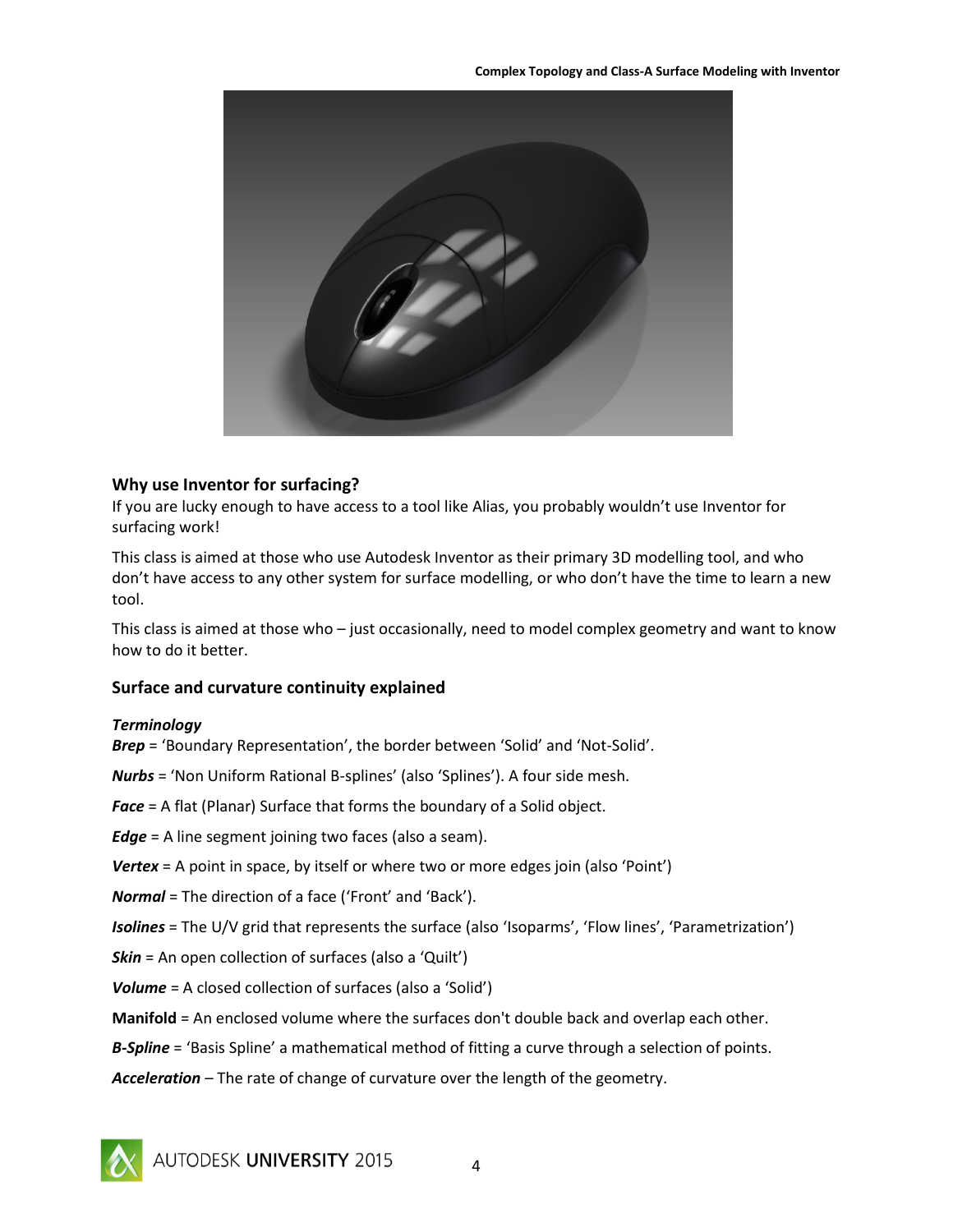

## <span id="page-3-0"></span>**Why use Inventor for surfacing?**

If you are lucky enough to have access to a tool like Alias, you probably wouldn't use Inventor for surfacing work!

This class is aimed at those who use Autodesk Inventor as their primary 3D modelling tool, and who don't have access to any other system for surface modelling, or who don't have the time to learn a new tool.

This class is aimed at those who – just occasionally, need to model complex geometry and want to know how to do it better.

## <span id="page-3-1"></span>**Surface and curvature continuity explained**

#### *Terminology*

*Brep* = 'Boundary Representation', the border between 'Solid' and 'Not-Solid'.

*Nurbs* = 'Non Uniform Rational B-splines' (also 'Splines'). A four side mesh.

*Face* = A flat (Planar) Surface that forms the boundary of a Solid object.

*Edge* = A line segment joining two faces (also a seam).

- *Vertex* = A point in space, by itself or where two or more edges join (also 'Point')
- *Normal* = The direction of a face ('Front' and 'Back').

*Isolines* = The U/V grid that represents the surface (also 'Isoparms', 'Flow lines', 'Parametrization')

**Skin** = An open collection of surfaces (also a 'Quilt')

- *Volume* = A closed collection of surfaces (also a 'Solid')
- **Manifold** = An enclosed volume where the surfaces don't double back and overlap each other.
- *B-Spline* = 'Basis Spline' a mathematical method of fitting a curve through a selection of points.

*Acceleration* – The rate of change of curvature over the length of the geometry.



AUTODESK UNIVERSITY 2015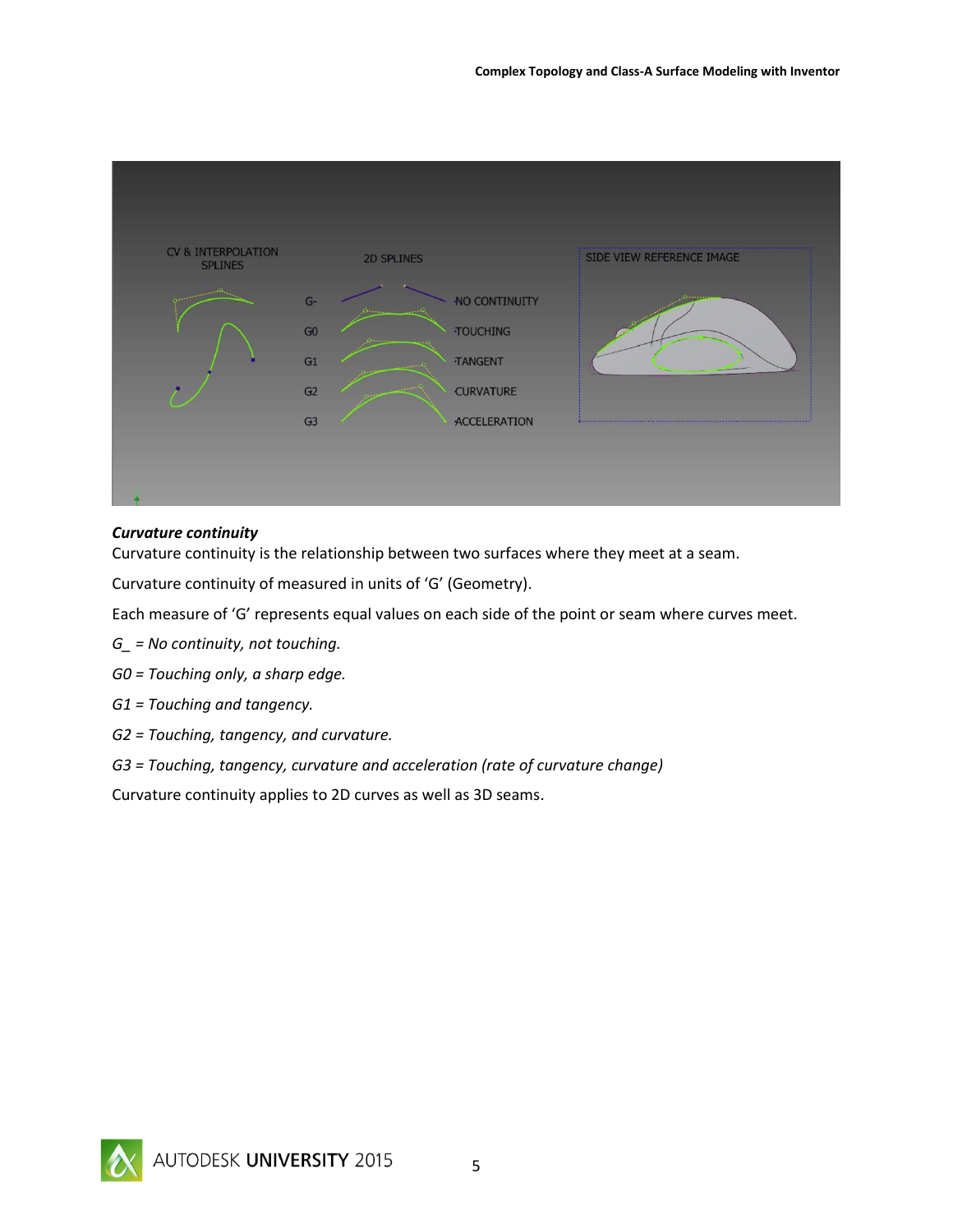

## *Curvature continuity*

Curvature continuity is the relationship between two surfaces where they meet at a seam.

Curvature continuity of measured in units of 'G' (Geometry).

Each measure of 'G' represents equal values on each side of the point or seam where curves meet.

- *G\_ = No continuity, not touching.*
- *G0 = Touching only, a sharp edge.*
- *G1 = Touching and tangency.*
- *G2 = Touching, tangency, and curvature.*
- *G3 = Touching, tangency, curvature and acceleration (rate of curvature change)*

Curvature continuity applies to 2D curves as well as 3D seams.

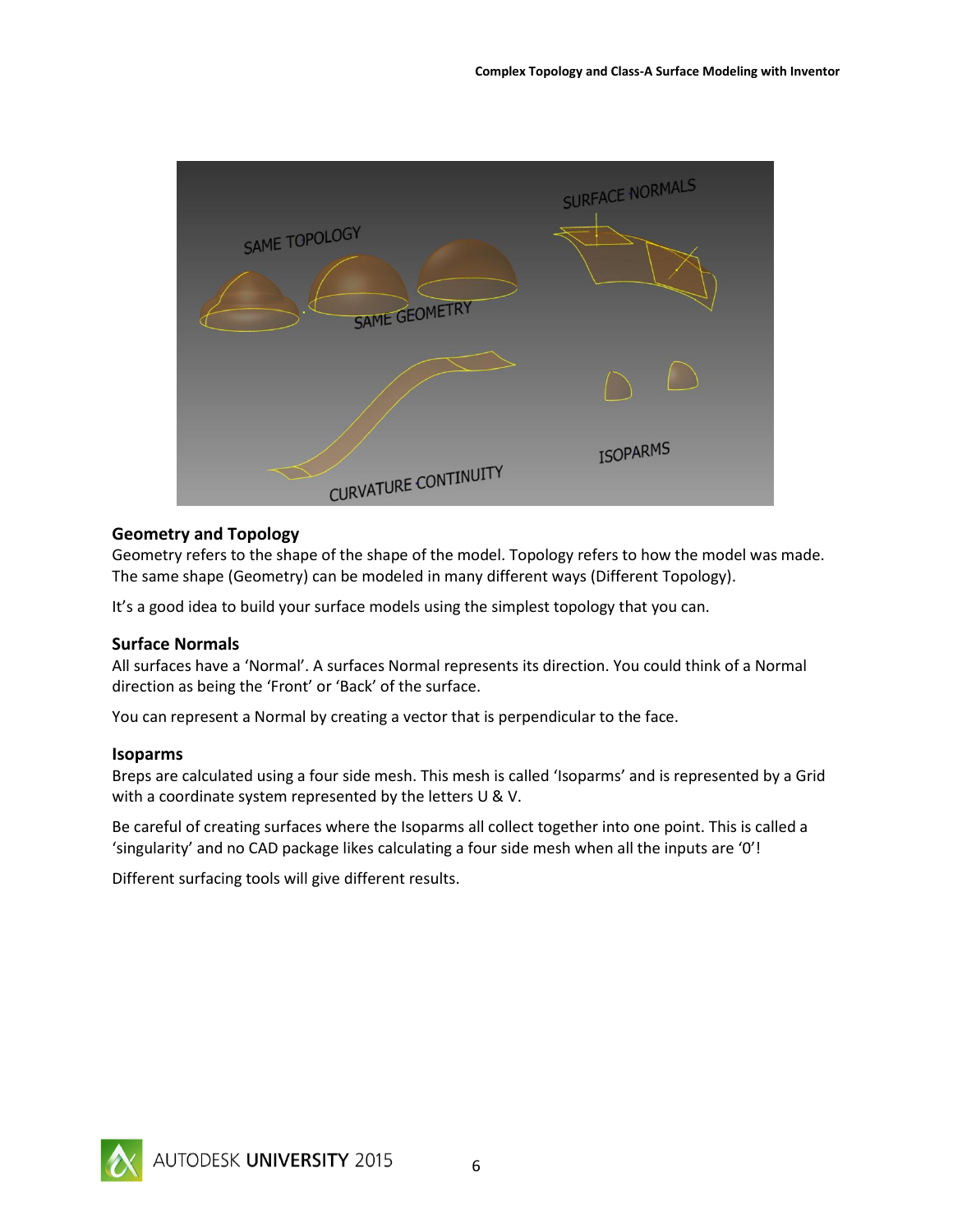

## <span id="page-5-0"></span>**Geometry and Topology**

Geometry refers to the shape of the shape of the model. Topology refers to how the model was made. The same shape (Geometry) can be modeled in many different ways (Different Topology).

It's a good idea to build your surface models using the simplest topology that you can.

#### <span id="page-5-1"></span>**Surface Normals**

All surfaces have a 'Normal'. A surfaces Normal represents its direction. You could think of a Normal direction as being the 'Front' or 'Back' of the surface.

You can represent a Normal by creating a vector that is perpendicular to the face.

#### <span id="page-5-2"></span>**Isoparms**

Breps are calculated using a four side mesh. This mesh is called 'Isoparms' and is represented by a Grid with a coordinate system represented by the letters U & V.

Be careful of creating surfaces where the Isoparms all collect together into one point. This is called a 'singularity' and no CAD package likes calculating a four side mesh when all the inputs are '0'!

Different surfacing tools will give different results.

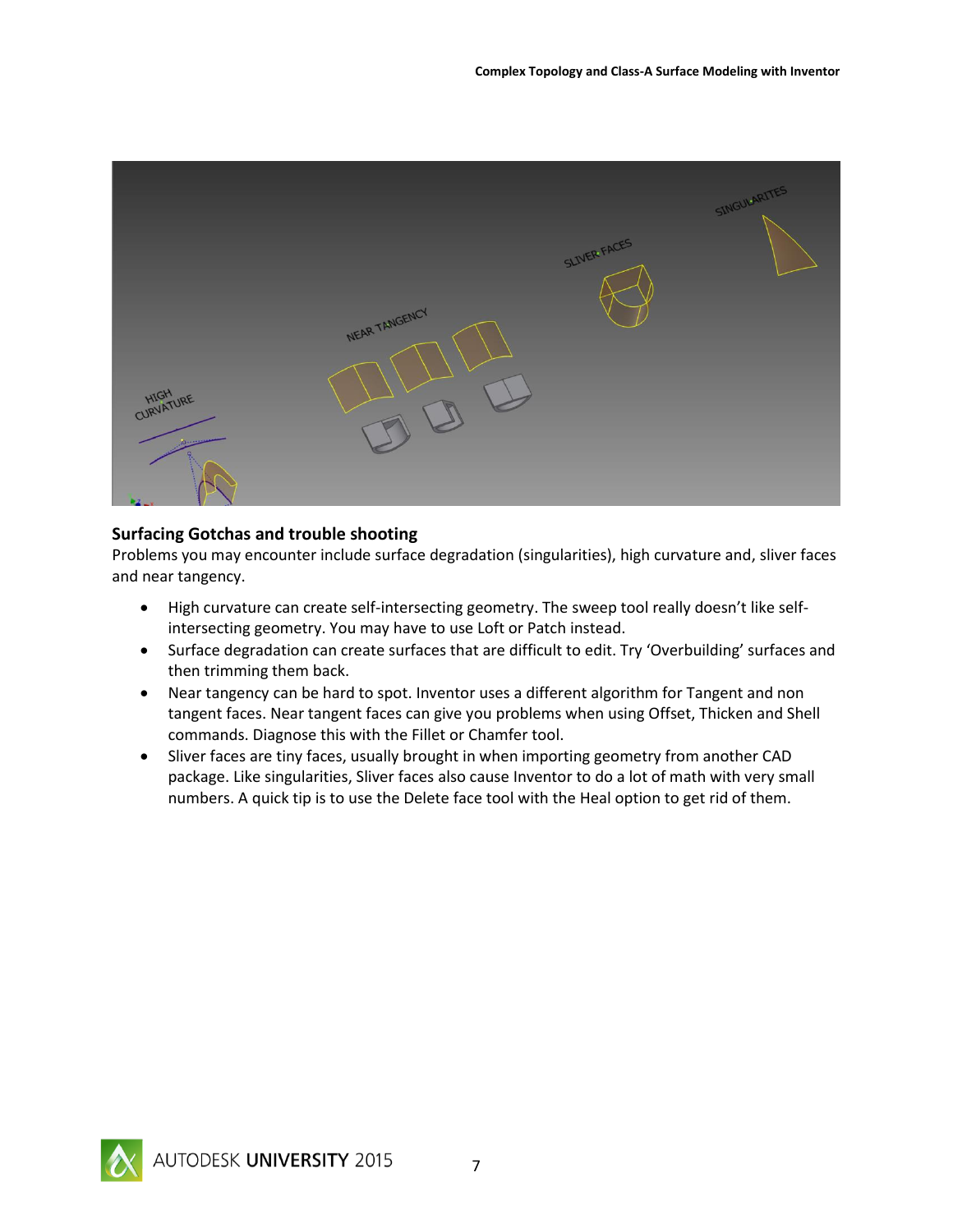

## <span id="page-6-0"></span>**Surfacing Gotchas and trouble shooting**

Problems you may encounter include surface degradation (singularities), high curvature and, sliver faces and near tangency.

- High curvature can create self-intersecting geometry. The sweep tool really doesn't like selfintersecting geometry. You may have to use Loft or Patch instead.
- Surface degradation can create surfaces that are difficult to edit. Try 'Overbuilding' surfaces and then trimming them back.
- Near tangency can be hard to spot. Inventor uses a different algorithm for Tangent and non tangent faces. Near tangent faces can give you problems when using Offset, Thicken and Shell commands. Diagnose this with the Fillet or Chamfer tool.
- Sliver faces are tiny faces, usually brought in when importing geometry from another CAD package. Like singularities, Sliver faces also cause Inventor to do a lot of math with very small numbers. A quick tip is to use the Delete face tool with the Heal option to get rid of them.

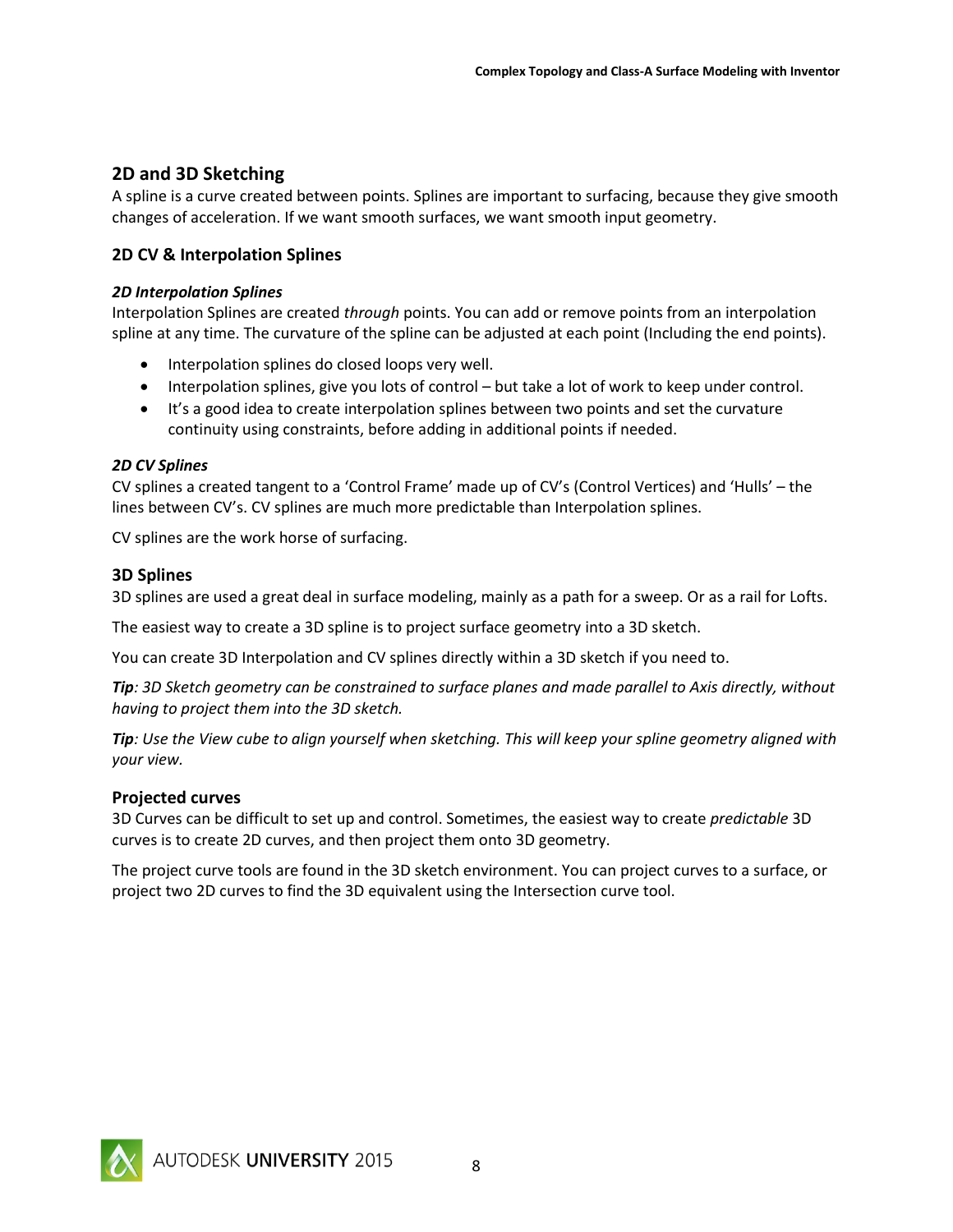## <span id="page-7-0"></span>**2D and 3D Sketching**

A spline is a curve created between points. Splines are important to surfacing, because they give smooth changes of acceleration. If we want smooth surfaces, we want smooth input geometry.

## <span id="page-7-1"></span>**2D CV & Interpolation Splines**

## *2D Interpolation Splines*

Interpolation Splines are created *through* points. You can add or remove points from an interpolation spline at any time. The curvature of the spline can be adjusted at each point (Including the end points).

- Interpolation splines do closed loops very well.
- Interpolation splines, give you lots of control but take a lot of work to keep under control.
- It's a good idea to create interpolation splines between two points and set the curvature continuity using constraints, before adding in additional points if needed.

## *2D CV Splines*

CV splines a created tangent to a 'Control Frame' made up of CV's (Control Vertices) and 'Hulls' – the lines between CV's. CV splines are much more predictable than Interpolation splines.

CV splines are the work horse of surfacing.

## <span id="page-7-2"></span>**3D Splines**

3D splines are used a great deal in surface modeling, mainly as a path for a sweep. Or as a rail for Lofts.

The easiest way to create a 3D spline is to project surface geometry into a 3D sketch.

You can create 3D Interpolation and CV splines directly within a 3D sketch if you need to.

*Tip: 3D Sketch geometry can be constrained to surface planes and made parallel to Axis directly, without having to project them into the 3D sketch.*

*Tip: Use the View cube to align yourself when sketching. This will keep your spline geometry aligned with your view.*

## <span id="page-7-3"></span>**Projected curves**

3D Curves can be difficult to set up and control. Sometimes, the easiest way to create *predictable* 3D curves is to create 2D curves, and then project them onto 3D geometry.

The project curve tools are found in the 3D sketch environment. You can project curves to a surface, or project two 2D curves to find the 3D equivalent using the Intersection curve tool.

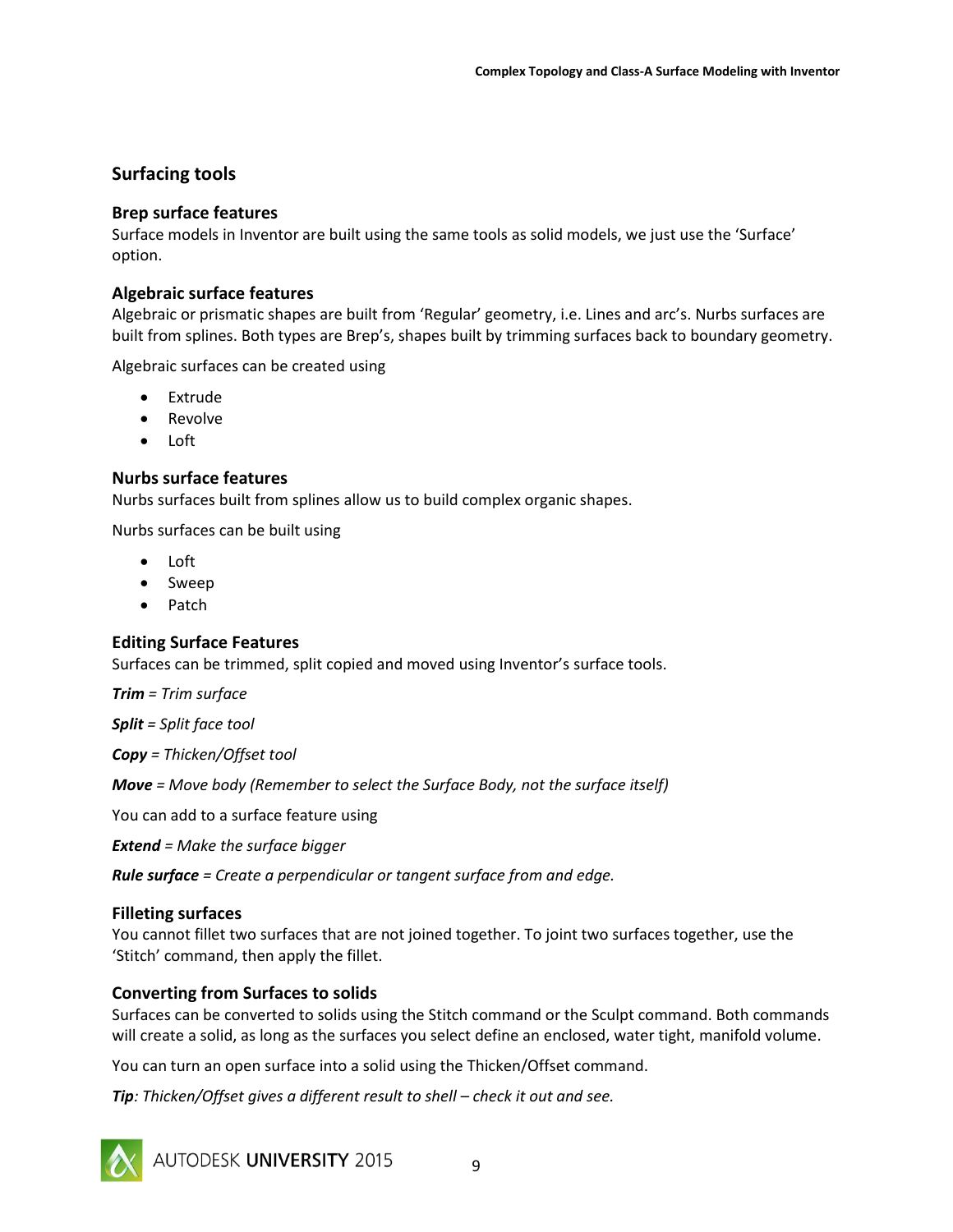## <span id="page-8-0"></span>**Surfacing tools**

## <span id="page-8-1"></span>**Brep surface features**

Surface models in Inventor are built using the same tools as solid models, we just use the 'Surface' option.

## <span id="page-8-2"></span>**Algebraic surface features**

Algebraic or prismatic shapes are built from 'Regular' geometry, i.e. Lines and arc's. Nurbs surfaces are built from splines. Both types are Brep's, shapes built by trimming surfaces back to boundary geometry.

Algebraic surfaces can be created using

- Extrude
- Revolve
- Loft

## <span id="page-8-3"></span>**Nurbs surface features**

Nurbs surfaces built from splines allow us to build complex organic shapes.

Nurbs surfaces can be built using

- Loft
- Sweep
- Patch

## <span id="page-8-4"></span>**Editing Surface Features**

Surfaces can be trimmed, split copied and moved using Inventor's surface tools.

*Trim = Trim surface*

*Split = Split face tool*

*Copy = Thicken/Offset tool*

*Move = Move body (Remember to select the Surface Body, not the surface itself)*

You can add to a surface feature using

*Extend = Make the surface bigger*

*Rule surface = Create a perpendicular or tangent surface from and edge.*

## <span id="page-8-5"></span>**Filleting surfaces**

You cannot fillet two surfaces that are not joined together. To joint two surfaces together, use the 'Stitch' command, then apply the fillet.

## <span id="page-8-6"></span>**Converting from Surfaces to solids**

Surfaces can be converted to solids using the Stitch command or the Sculpt command. Both commands will create a solid, as long as the surfaces you select define an enclosed, water tight, manifold volume.

You can turn an open surface into a solid using the Thicken/Offset command.

*Tip*: Thicken/Offset gives a different result to shell – check it out and see.



AUTODESK UNIVERSITY 2015